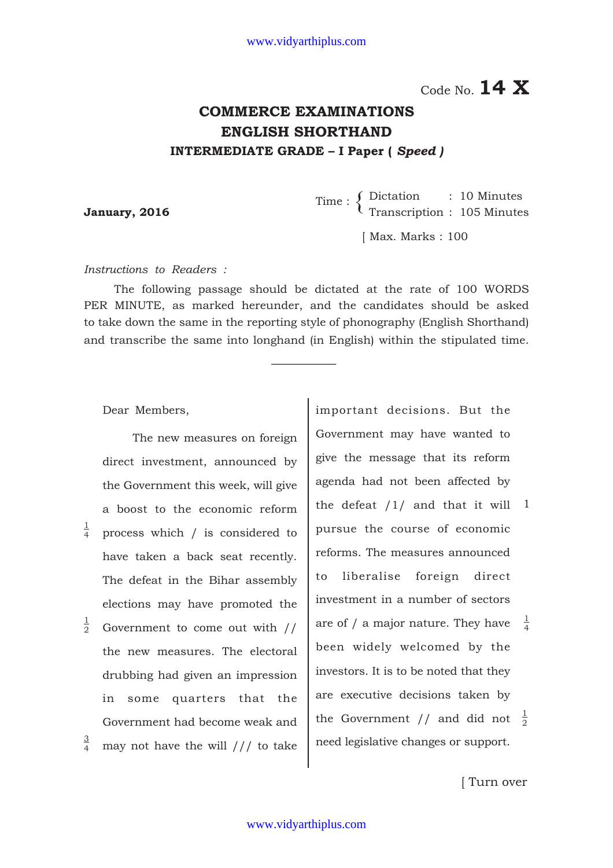1 Code No. **14 X** Code No. **14 X**

## **COMMERCE EXAMINATIONS ENGLISH SHORTHAND INTERMEDIATE GRADE – I Paper (** *Speed )*

Dictation : 10 Minutes **January, 2016** Time :  $\left\{\n \begin{array}{l}\n \text{Direction} \\
\text{Transcription} \\
\text{105 minutes}\n \end{array}\n \right.$ 

[ Max. Marks : 100

*Instructions to Readers :*

The following passage should be dictated at the rate of 100 WORDS PER MINUTE, as marked hereunder, and the candidates should be asked to take down the same in the reporting style of phonography (English Shorthand) and transcribe the same into longhand (in English) within the stipulated time.

 $\overline{\phantom{a}}$  ,  $\overline{\phantom{a}}$  ,  $\overline{\phantom{a}}$  ,  $\overline{\phantom{a}}$  ,  $\overline{\phantom{a}}$  ,  $\overline{\phantom{a}}$  ,  $\overline{\phantom{a}}$  ,  $\overline{\phantom{a}}$  ,  $\overline{\phantom{a}}$  ,  $\overline{\phantom{a}}$  ,  $\overline{\phantom{a}}$  ,  $\overline{\phantom{a}}$  ,  $\overline{\phantom{a}}$  ,  $\overline{\phantom{a}}$  ,  $\overline{\phantom{a}}$  ,  $\overline{\phantom{a}}$ 

Dear Members,

1 4

2

4

The new measures on foreign direct investment, announced by the Government this week, will give a boost to the economic reform process which / is considered to have taken a back seat recently. The defeat in the Bihar assembly elections may have promoted the  $\frac{1}{2}$  Government to come out with // the new measures. The electoral drubbing had given an impression in some quarters that the Government had become weak and may not have the will /// to take 3

important decisions. But the Government may have wanted to give the message that its reform agenda had not been affected by the defeat /1/ and that it will 1 pursue the course of economic reforms. The measures announced to liberalise foreign direct investment in a number of sectors are of / a major nature. They have been widely welcomed by the investors. It is to be noted that they are executive decisions taken by the Government // and did not  $\frac{1}{2}$ need legislative changes or support. 2 1 4

[ Turn over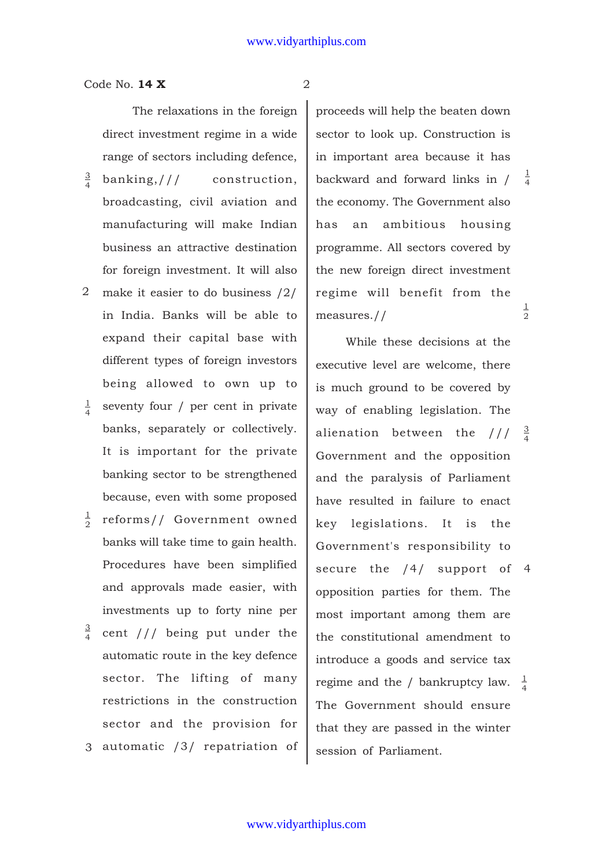Code No. **14 X** 2

The relaxations in the foreign direct investment regime in a wide range of sectors including defence,

- banking,/// construction, broadcasting, civil aviation and manufacturing will make Indian business an attractive destination for foreign investment. It will also 3 4
- make it easier to do business /2/ 2 in India. Banks will be able to expand their capital base with different types of foreign investors being allowed to own up to
- seventy four / per cent in private banks, separately or collectively. It is important for the private banking sector to be strengthened because, even with some proposed 1 4
- $\frac{1}{2}$  reforms// Government owned banks will take time to gain health. Procedures have been simplified and approvals made easier, with investments up to forty nine per cent /// being put under the 2 3
- automatic route in the key defence sector. The lifting of many restrictions in the construction sector and the provision for 4
- 3 automatic /3/ repatriation of

1 2 1 4 proceeds will help the beaten down sector to look up. Construction is in important area because it has backward and forward links in / the economy. The Government also has an ambitious housing programme. All sectors covered by the new foreign direct investment regime will benefit from the measures.//

While these decisions at the executive level are welcome, there is much ground to be covered by way of enabling legislation. The alienation between the ///  $\frac{3}{4}$ Government and the opposition and the paralysis of Parliament have resulted in failure to enact key legislations. It is the Government's responsibility to secure the /4/ support of opposition parties for them. The most important among them are the constitutional amendment to introduce a goods and service tax regime and the / bankruptcy law.  $\frac{1}{4}$ The Government should ensure that they are passed in the winter session of Parliament. 4 4 4

www.vidyarthiplus.com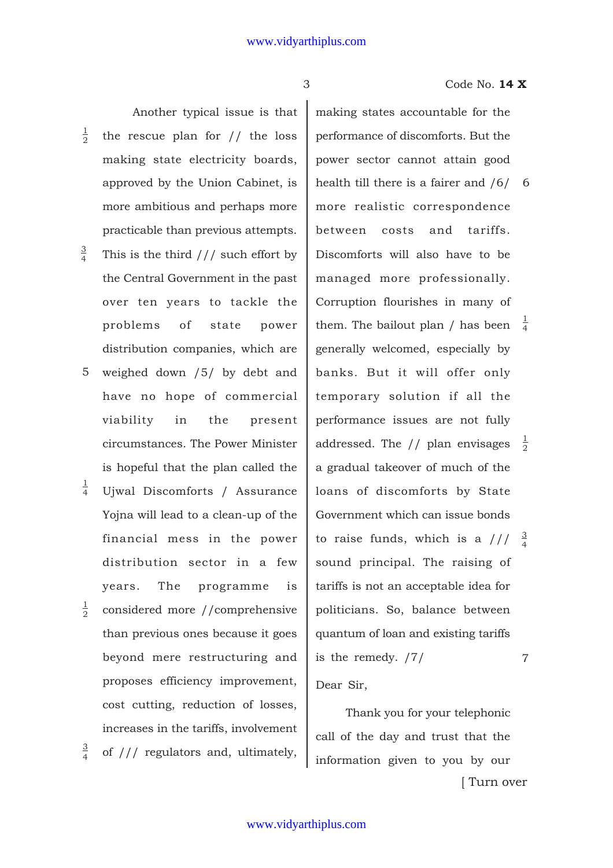Another typical issue is that the rescue plan for // the loss making state electricity boards, approved by the Union Cabinet, is more ambitious and perhaps more practicable than previous attempts. 1 2

- This is the third  $//$  such effort by the Central Government in the past over ten years to tackle the problems of state power distribution companies, which are 3 4
- weighed down /5/ by debt and have no hope of commercial viability in the present circumstances. The Power Minister is hopeful that the plan called the 5
- Ujwal Discomforts / Assurance Yojna will lead to a clean-up of the financial mess in the power distribution sector in a few years. The programme is 1 4
- considered more //comprehensive than previous ones because it goes beyond mere restructuring and proposes efficiency improvement, cost cutting, reduction of losses, increases in the tariffs, involvement 1 2
- of /// regulators and, ultimately, 3 4

3 Code No. **14 X**

1 them. The bailout plan / has been  $\frac{1}{4}$ 3 to raise funds, which is a  $// \frac{3}{4}$ 1 addressed. The // plan envisages  $\frac{1}{2}$ 7 making states accountable for the performance of discomforts. But the power sector cannot attain good health till there is a fairer and /6/ 6 more realistic correspondence between costs and tariffs. Discomforts will also have to be managed more professionally. Corruption flourishes in many of generally welcomed, especially by banks. But it will offer only temporary solution if all the performance issues are not fully a gradual takeover of much of the loans of discomforts by State Government which can issue bonds sound principal. The raising of tariffs is not an acceptable idea for politicians. So, balance between quantum of loan and existing tariffs is the remedy. /7/ Dear Sir,

[ Turn over Thank you for your telephonic call of the day and trust that the information given to you by our